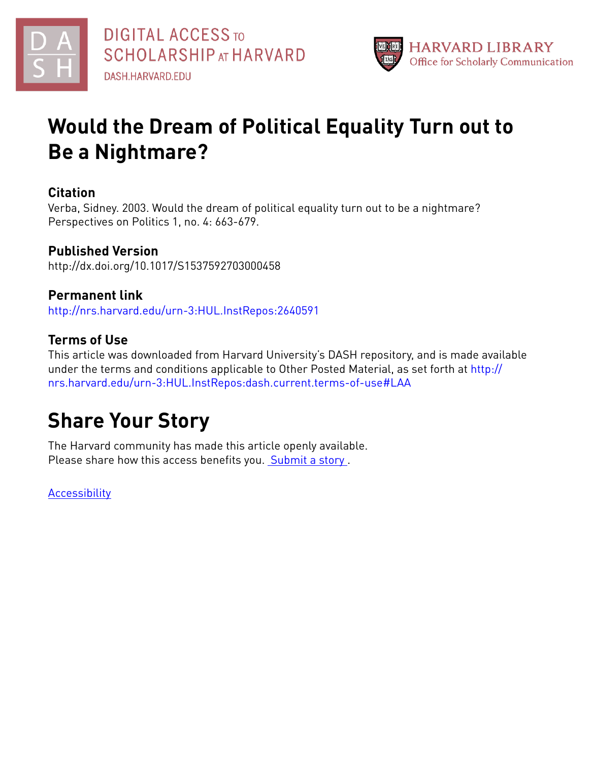



# **Citation**

Verba, Sidney. 2003. Would the dream of political equality turn out to be a nightmare? Perspectives on Politics 1, no. 4: 663-679.

# **Published Version**

http://dx.doi.org/10.1017/S1537592703000458

# **Permanent link**

<http://nrs.harvard.edu/urn-3:HUL.InstRepos:2640591>

# **Terms of Use**

This article was downloaded from Harvard University's DASH repository, and is made available under the terms and conditions applicable to Other Posted Material, as set forth at [http://](http://nrs.harvard.edu/urn-3:HUL.InstRepos:dash.current.terms-of-use#LAA) [nrs.harvard.edu/urn-3:HUL.InstRepos:dash.current.terms-of-use#LAA](http://nrs.harvard.edu/urn-3:HUL.InstRepos:dash.current.terms-of-use#LAA)

# **Share Your Story**

The Harvard community has made this article openly available. Please share how this access benefits you. [Submit](http://osc.hul.harvard.edu/dash/open-access-feedback?handle=&title=Would%20the%20Dream%20of%20Political%20Equality%20Turn%20out%20%0D%0Ato%20Be%20a%20Nightmare?&community=1/1&collection=1/2&owningCollection1/2&harvardAuthors=651b0fb728a2846e1904dc95180c5e51&departmentGovernment) a story.

**[Accessibility](https://dash.harvard.edu/pages/accessibility)**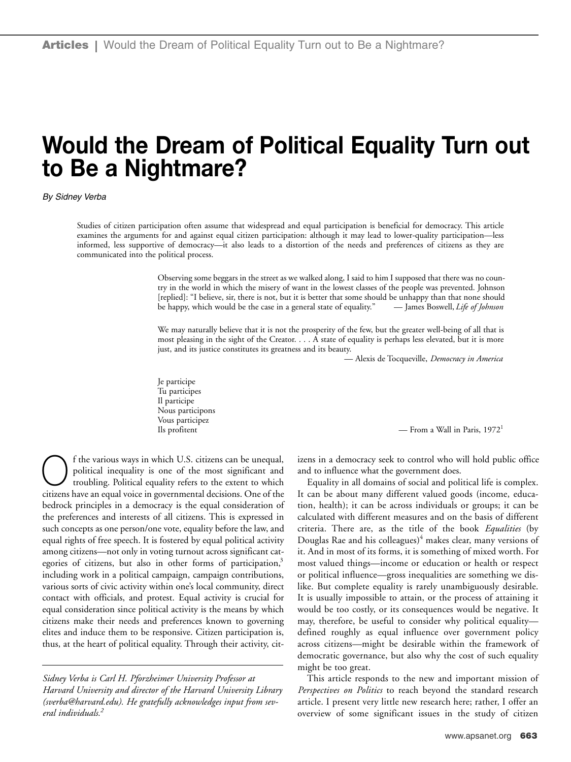#### By Sidney Verba

Studies of citizen participation often assume that widespread and equal participation is beneficial for democracy. This article examines the arguments for and against equal citizen participation: although it may lead to lower-quality participation—less informed, less supportive of democracy—it also leads to a distortion of the needs and preferences of citizens as they are communicated into the political process.

> Observing some beggars in the street as we walked along, I said to him I supposed that there was no country in the world in which the misery of want in the lowest classes of the people was prevented. Johnson [replied]: "I believe, sir, there is not, but it is better that some should be unhappy than that none should be happy, which would be the case in a general state of equality." — James Boswell, *Life of Johnson*

> We may naturally believe that it is not the prosperity of the few, but the greater well-being of all that is most pleasing in the sight of the Creator. . . . A state of equality is perhaps less elevated, but it is more just, and its justice constitutes its greatness and its beauty.

— Alexis de Tocqueville, *Democracy in America*

Je participe Tu participes Il participe Nous participons Vous participez  $\frac{1}{2}$  Ils profitent **EXECUTE:** The profitent **EXECUTE:** From a Wall in Paris,  $1972^1$ 

of the various ways in which U.S. citizens can be unequal,<br>political inequality is one of the most significant and<br>troubling. Political equality refers to the extent to which political inequality is one of the most significant and troubling. Political equality refers to the extent to which citizens have an equal voice in governmental decisions. One of the bedrock principles in a democracy is the equal consideration of the preferences and interests of all citizens. This is expressed in such concepts as one person/one vote, equality before the law, and equal rights of free speech. It is fostered by equal political activity among citizens—not only in voting turnout across significant categories of citizens, but also in other forms of participation, $3$ including work in a political campaign, campaign contributions, various sorts of civic activity within one's local community, direct contact with officials, and protest. Equal activity is crucial for equal consideration since political activity is the means by which citizens make their needs and preferences known to governing elites and induce them to be responsive. Citizen participation is, thus, at the heart of political equality. Through their activity, citizens in a democracy seek to control who will hold public office and to influence what the government does.

Equality in all domains of social and political life is complex. It can be about many different valued goods (income, education, health); it can be across individuals or groups; it can be calculated with different measures and on the basis of different criteria. There are, as the title of the book *Equalities* (by Douglas Rae and his colleagues) $4$  makes clear, many versions of it. And in most of its forms, it is something of mixed worth. For most valued things—income or education or health or respect or political influence—gross inequalities are something we dislike. But complete equality is rarely unambiguously desirable. It is usually impossible to attain, or the process of attaining it would be too costly, or its consequences would be negative. It may, therefore, be useful to consider why political equality defined roughly as equal influence over government policy across citizens—might be desirable within the framework of democratic governance, but also why the cost of such equality might be too great.

This article responds to the new and important mission of *Perspectives on Politics* to reach beyond the standard research article. I present very little new research here; rather, I offer an overview of some significant issues in the study of citizen

*Sidney Verba is Carl H. Pforzheimer University Professor at Harvard University and director of the Harvard University Library (sverba@harvard.edu). He gratefully acknowledges input from several individuals.2*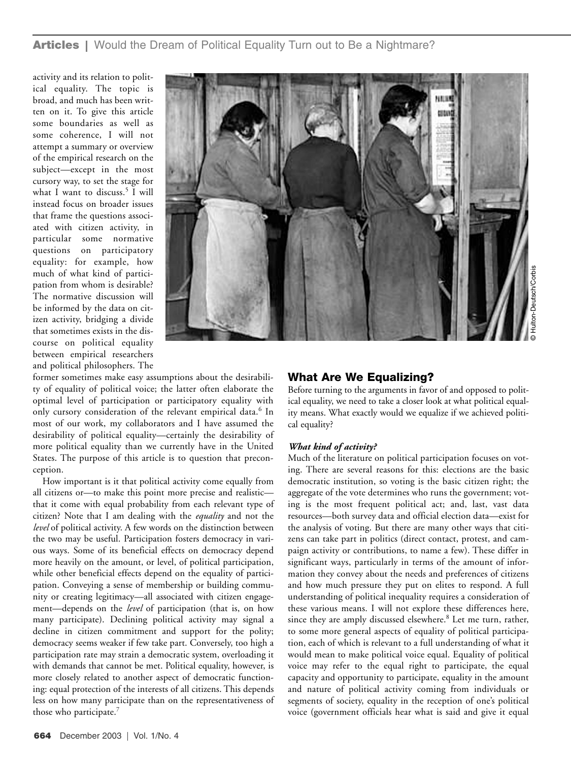activity and its relation to political equality. The topic is broad, and much has been written on it. To give this article some boundaries as well as some coherence, I will not attempt a summary or overview of the empirical research on the subject—except in the most cursory way, to set the stage for what I want to discuss.<sup>5</sup> I will instead focus on broader issues that frame the questions associated with citizen activity, in particular some normative questions on participatory equality: for example, how much of what kind of participation from whom is desirable? The normative discussion will be informed by the data on citizen activity, bridging a divide that sometimes exists in the discourse on political equality between empirical researchers and political philosophers. The



former sometimes make easy assumptions about the desirability of equality of political voice; the latter often elaborate the optimal level of participation or participatory equality with only cursory consideration of the relevant empirical data.<sup>6</sup> In most of our work, my collaborators and I have assumed the desirability of political equality—certainly the desirability of more political equality than we currently have in the United States. The purpose of this article is to question that preconception.

How important is it that political activity come equally from all citizens or—to make this point more precise and realistic that it come with equal probability from each relevant type of citizen? Note that I am dealing with the *equality* and not the *level* of political activity. A few words on the distinction between the two may be useful. Participation fosters democracy in various ways. Some of its beneficial effects on democracy depend more heavily on the amount, or level, of political participation, while other beneficial effects depend on the equality of participation. Conveying a sense of membership or building community or creating legitimacy—all associated with citizen engagement—depends on the *level* of participation (that is, on how many participate). Declining political activity may signal a decline in citizen commitment and support for the polity; democracy seems weaker if few take part. Conversely, too high a participation rate may strain a democratic system, overloading it with demands that cannot be met. Political equality, however, is more closely related to another aspect of democratic functioning: equal protection of the interests of all citizens. This depends less on how many participate than on the representativeness of those who participate.<sup>7</sup>

# What Are We Equalizing?

Before turning to the arguments in favor of and opposed to political equality, we need to take a closer look at what political equality means. What exactly would we equalize if we achieved political equality?

#### *What kind of activity?*

Much of the literature on political participation focuses on voting. There are several reasons for this: elections are the basic democratic institution, so voting is the basic citizen right; the aggregate of the vote determines who runs the government; voting is the most frequent political act; and, last, vast data resources—both survey data and official election data—exist for the analysis of voting. But there are many other ways that citizens can take part in politics (direct contact, protest, and campaign activity or contributions, to name a few). These differ in significant ways, particularly in terms of the amount of information they convey about the needs and preferences of citizens and how much pressure they put on elites to respond. A full understanding of political inequality requires a consideration of these various means. I will not explore these differences here, since they are amply discussed elsewhere.<sup>8</sup> Let me turn, rather, to some more general aspects of equality of political participation, each of which is relevant to a full understanding of what it would mean to make political voice equal. Equality of political voice may refer to the equal right to participate, the equal capacity and opportunity to participate, equality in the amount and nature of political activity coming from individuals or segments of society, equality in the reception of one's political voice (government officials hear what is said and give it equal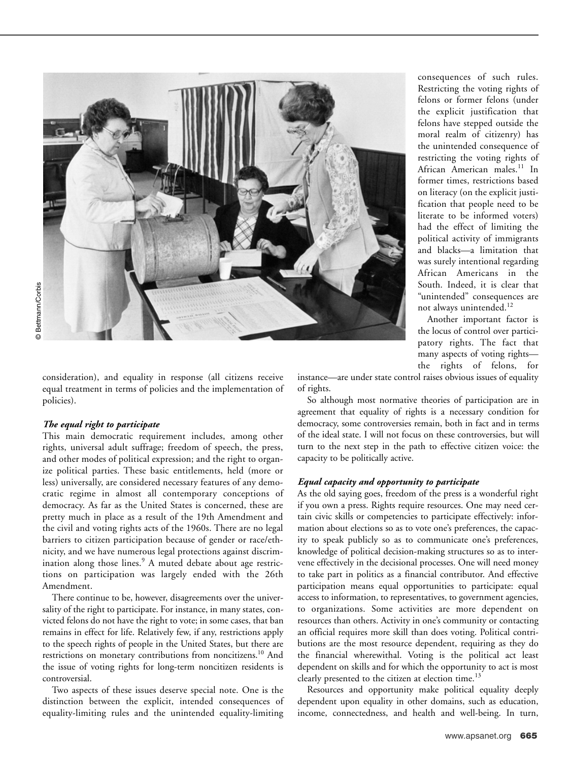

consideration), and equality in response (all citizens receive equal treatment in terms of policies and the implementation of policies).

#### *The equal right to participate*

This main democratic requirement includes, among other rights, universal adult suffrage; freedom of speech, the press, and other modes of political expression; and the right to organize political parties. These basic entitlements, held (more or less) universally, are considered necessary features of any democratic regime in almost all contemporary conceptions of democracy. As far as the United States is concerned, these are pretty much in place as a result of the 19th Amendment and the civil and voting rights acts of the 1960s. There are no legal barriers to citizen participation because of gender or race/ethnicity, and we have numerous legal protections against discrimination along those lines.<sup>9</sup> A muted debate about age restrictions on participation was largely ended with the 26th Amendment.

There continue to be, however, disagreements over the universality of the right to participate. For instance, in many states, convicted felons do not have the right to vote; in some cases, that ban remains in effect for life. Relatively few, if any, restrictions apply to the speech rights of people in the United States, but there are restrictions on monetary contributions from noncitizens.<sup>10</sup> And the issue of voting rights for long-term noncitizen residents is controversial.

Two aspects of these issues deserve special note. One is the distinction between the explicit, intended consequences of equality-limiting rules and the unintended equality-limiting

consequences of such rules. Restricting the voting rights of felons or former felons (under the explicit justification that felons have stepped outside the moral realm of citizenry) has the unintended consequence of restricting the voting rights of African American males.<sup>11</sup> In former times, restrictions based on literacy (on the explicit justification that people need to be literate to be informed voters) had the effect of limiting the political activity of immigrants and blacks—a limitation that was surely intentional regarding African Americans in the South. Indeed, it is clear that "unintended" consequences are not always unintended.<sup>12</sup>

Another important factor is the locus of control over participatory rights. The fact that many aspects of voting rights the rights of felons, for

instance—are under state control raises obvious issues of equality of rights.

So although most normative theories of participation are in agreement that equality of rights is a necessary condition for democracy, some controversies remain, both in fact and in terms of the ideal state. I will not focus on these controversies, but will turn to the next step in the path to effective citizen voice: the capacity to be politically active.

#### *Equal capacity and opportunity to participate*

As the old saying goes, freedom of the press is a wonderful right if you own a press. Rights require resources. One may need certain civic skills or competencies to participate effectively: information about elections so as to vote one's preferences, the capacity to speak publicly so as to communicate one's preferences, knowledge of political decision-making structures so as to intervene effectively in the decisional processes. One will need money to take part in politics as a financial contributor. And effective participation means equal opportunities to participate: equal access to information, to representatives, to government agencies, to organizations. Some activities are more dependent on resources than others. Activity in one's community or contacting an official requires more skill than does voting. Political contributions are the most resource dependent, requiring as they do the financial wherewithal. Voting is the political act least dependent on skills and for which the opportunity to act is most clearly presented to the citizen at election time.<sup>13</sup>

Resources and opportunity make political equality deeply dependent upon equality in other domains, such as education, income, connectedness, and health and well-being. In turn,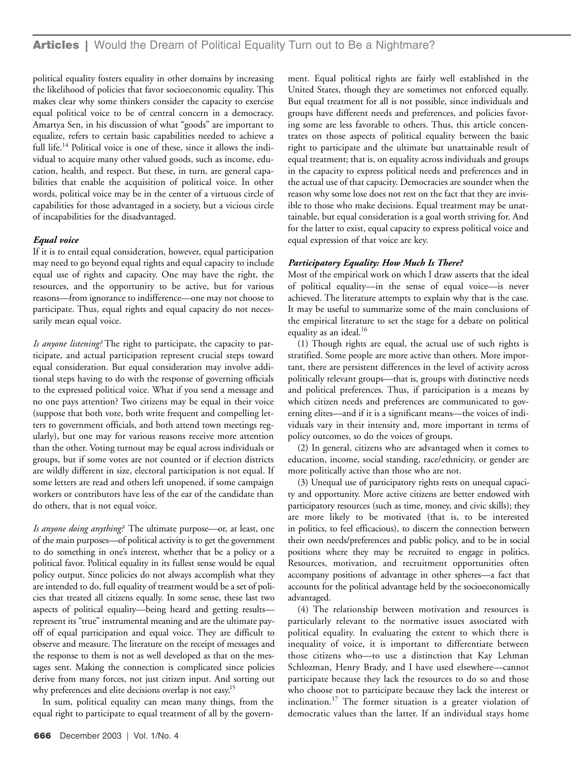political equality fosters equality in other domains by increasing the likelihood of policies that favor socioeconomic equality. This makes clear why some thinkers consider the capacity to exercise equal political voice to be of central concern in a democracy. Amartya Sen, in his discussion of what "goods" are important to equalize, refers to certain basic capabilities needed to achieve a full life.<sup>14</sup> Political voice is one of these, since it allows the individual to acquire many other valued goods, such as income, education, health, and respect. But these, in turn, are general capabilities that enable the acquisition of political voice. In other words, political voice may be in the center of a virtuous circle of capabilities for those advantaged in a society, but a vicious circle of incapabilities for the disadvantaged.

### *Equal voice*

If it is to entail equal consideration, however, equal participation may need to go beyond equal rights and equal capacity to include equal use of rights and capacity. One may have the right, the resources, and the opportunity to be active, but for various reasons—from ignorance to indifference—one may not choose to participate. Thus, equal rights and equal capacity do not necessarily mean equal voice.

*Is anyone listening?* The right to participate, the capacity to participate, and actual participation represent crucial steps toward equal consideration. But equal consideration may involve additional steps having to do with the response of governing officials to the expressed political voice. What if you send a message and no one pays attention? Two citizens may be equal in their voice (suppose that both vote, both write frequent and compelling letters to government officials, and both attend town meetings regularly), but one may for various reasons receive more attention than the other. Voting turnout may be equal across individuals or groups, but if some votes are not counted or if election districts are wildly different in size, electoral participation is not equal. If some letters are read and others left unopened, if some campaign workers or contributors have less of the ear of the candidate than do others, that is not equal voice.

*Is anyone doing anything?* The ultimate purpose—or, at least, one of the main purposes—of political activity is to get the government to do something in one's interest, whether that be a policy or a political favor. Political equality in its fullest sense would be equal policy output. Since policies do not always accomplish what they are intended to do, full equality of treatment would be a set of policies that treated all citizens equally. In some sense, these last two aspects of political equality—being heard and getting results represent its "true" instrumental meaning and are the ultimate payoff of equal participation and equal voice. They are difficult to observe and measure. The literature on the receipt of messages and the response to them is not as well developed as that on the messages sent. Making the connection is complicated since policies derive from many forces, not just citizen input. And sorting out why preferences and elite decisions overlap is not easy.<sup>15</sup>

In sum, political equality can mean many things, from the equal right to participate to equal treatment of all by the government. Equal political rights are fairly well established in the United States, though they are sometimes not enforced equally. But equal treatment for all is not possible, since individuals and groups have different needs and preferences, and policies favoring some are less favorable to others. Thus, this article concentrates on those aspects of political equality between the basic right to participate and the ultimate but unattainable result of equal treatment; that is, on equality across individuals and groups in the capacity to express political needs and preferences and in the actual use of that capacity. Democracies are sounder when the reason why some lose does not rest on the fact that they are invisible to those who make decisions. Equal treatment may be unattainable, but equal consideration is a goal worth striving for. And for the latter to exist, equal capacity to express political voice and equal expression of that voice are key.

#### *Participatory Equality: How Much Is There?*

Most of the empirical work on which I draw asserts that the ideal of political equality—in the sense of equal voice—is never achieved. The literature attempts to explain why that is the case. It may be useful to summarize some of the main conclusions of the empirical literature to set the stage for a debate on political equality as an ideal.<sup>16</sup>

(1) Though rights are equal, the actual use of such rights is stratified. Some people are more active than others. More important, there are persistent differences in the level of activity across politically relevant groups—that is, groups with distinctive needs and political preferences. Thus, if participation is a means by which citizen needs and preferences are communicated to governing elites—and if it is a significant means—the voices of individuals vary in their intensity and, more important in terms of policy outcomes, so do the voices of groups.

(2) In general, citizens who are advantaged when it comes to education, income, social standing, race/ethnicity, or gender are more politically active than those who are not.

(3) Unequal use of participatory rights rests on unequal capacity and opportunity. More active citizens are better endowed with participatory resources (such as time, money, and civic skills); they are more likely to be motivated (that is, to be interested in politics, to feel efficacious), to discern the connection between their own needs/preferences and public policy, and to be in social positions where they may be recruited to engage in politics. Resources, motivation, and recruitment opportunities often accompany positions of advantage in other spheres—a fact that accounts for the political advantage held by the socioeconomically advantaged.

(4) The relationship between motivation and resources is particularly relevant to the normative issues associated with political equality. In evaluating the extent to which there is inequality of voice, it is important to differentiate between those citizens who—to use a distinction that Kay Lehman Schlozman, Henry Brady, and I have used elsewhere—cannot participate because they lack the resources to do so and those who choose not to participate because they lack the interest or inclination.<sup>17</sup> The former situation is a greater violation of democratic values than the latter. If an individual stays home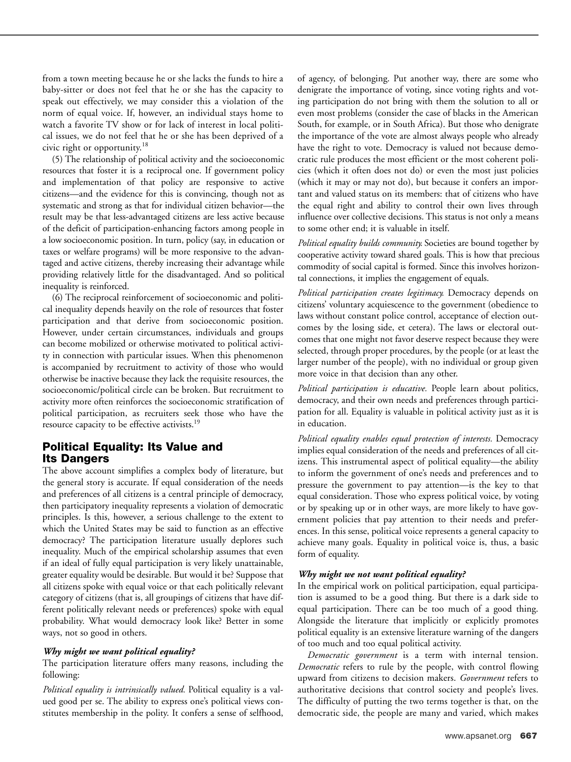from a town meeting because he or she lacks the funds to hire a baby-sitter or does not feel that he or she has the capacity to speak out effectively, we may consider this a violation of the norm of equal voice. If, however, an individual stays home to watch a favorite TV show or for lack of interest in local political issues, we do not feel that he or she has been deprived of a civic right or opportunity.<sup>18</sup>

(5) The relationship of political activity and the socioeconomic resources that foster it is a reciprocal one. If government policy and implementation of that policy are responsive to active citizens—and the evidence for this is convincing, though not as systematic and strong as that for individual citizen behavior—the result may be that less-advantaged citizens are less active because of the deficit of participation-enhancing factors among people in a low socioeconomic position. In turn, policy (say, in education or taxes or welfare programs) will be more responsive to the advantaged and active citizens, thereby increasing their advantage while providing relatively little for the disadvantaged. And so political inequality is reinforced.

(6) The reciprocal reinforcement of socioeconomic and political inequality depends heavily on the role of resources that foster participation and that derive from socioeconomic position. However, under certain circumstances, individuals and groups can become mobilized or otherwise motivated to political activity in connection with particular issues. When this phenomenon is accompanied by recruitment to activity of those who would otherwise be inactive because they lack the requisite resources, the socioeconomic/political circle can be broken. But recruitment to activity more often reinforces the socioeconomic stratification of political participation, as recruiters seek those who have the resource capacity to be effective activists.<sup>19</sup>

## Political Equality: Its Value and Its Dangers

The above account simplifies a complex body of literature, but the general story is accurate. If equal consideration of the needs and preferences of all citizens is a central principle of democracy, then participatory inequality represents a violation of democratic principles. Is this, however, a serious challenge to the extent to which the United States may be said to function as an effective democracy? The participation literature usually deplores such inequality. Much of the empirical scholarship assumes that even if an ideal of fully equal participation is very likely unattainable, greater equality would be desirable. But would it be? Suppose that all citizens spoke with equal voice or that each politically relevant category of citizens (that is, all groupings of citizens that have different politically relevant needs or preferences) spoke with equal probability. What would democracy look like? Better in some ways, not so good in others.

#### *Why might we want political equality?*

The participation literature offers many reasons, including the following:

*Political equality is intrinsically valued.* Political equality is a valued good per se. The ability to express one's political views constitutes membership in the polity. It confers a sense of selfhood, of agency, of belonging. Put another way, there are some who denigrate the importance of voting, since voting rights and voting participation do not bring with them the solution to all or even most problems (consider the case of blacks in the American South, for example, or in South Africa). But those who denigrate the importance of the vote are almost always people who already have the right to vote. Democracy is valued not because democratic rule produces the most efficient or the most coherent policies (which it often does not do) or even the most just policies (which it may or may not do), but because it confers an important and valued status on its members: that of citizens who have the equal right and ability to control their own lives through influence over collective decisions. This status is not only a means to some other end; it is valuable in itself.

*Political equality builds community.* Societies are bound together by cooperative activity toward shared goals. This is how that precious commodity of social capital is formed. Since this involves horizontal connections, it implies the engagement of equals.

*Political participation creates legitimacy.* Democracy depends on citizens' voluntary acquiescence to the government (obedience to laws without constant police control, acceptance of election outcomes by the losing side, et cetera). The laws or electoral outcomes that one might not favor deserve respect because they were selected, through proper procedures, by the people (or at least the larger number of the people), with no individual or group given more voice in that decision than any other.

*Political participation is educative.* People learn about politics, democracy, and their own needs and preferences through participation for all. Equality is valuable in political activity just as it is in education.

*Political equality enables equal protection of interests.* Democracy implies equal consideration of the needs and preferences of all citizens. This instrumental aspect of political equality—the ability to inform the government of one's needs and preferences and to pressure the government to pay attention—is the key to that equal consideration. Those who express political voice, by voting or by speaking up or in other ways, are more likely to have government policies that pay attention to their needs and preferences. In this sense, political voice represents a general capacity to achieve many goals. Equality in political voice is, thus, a basic form of equality.

#### *Why might we not want political equality?*

In the empirical work on political participation, equal participation is assumed to be a good thing. But there is a dark side to equal participation. There can be too much of a good thing. Alongside the literature that implicitly or explicitly promotes political equality is an extensive literature warning of the dangers of too much and too equal political activity.

*Democratic government* is a term with internal tension. *Democratic* refers to rule by the people, with control flowing upward from citizens to decision makers. *Government* refers to authoritative decisions that control society and people's lives. The difficulty of putting the two terms together is that, on the democratic side, the people are many and varied, which makes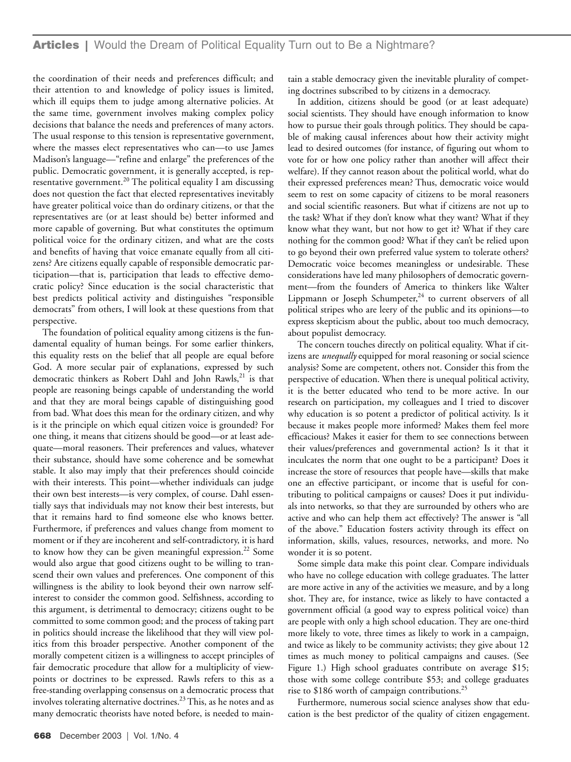the coordination of their needs and preferences difficult; and their attention to and knowledge of policy issues is limited, which ill equips them to judge among alternative policies. At the same time, government involves making complex policy decisions that balance the needs and preferences of many actors. The usual response to this tension is representative government, where the masses elect representatives who can—to use James Madison's language—"refine and enlarge" the preferences of the public. Democratic government, it is generally accepted, is representative government.<sup>20</sup> The political equality I am discussing does not question the fact that elected representatives inevitably have greater political voice than do ordinary citizens, or that the representatives are (or at least should be) better informed and more capable of governing. But what constitutes the optimum political voice for the ordinary citizen, and what are the costs and benefits of having that voice emanate equally from all citizens? Are citizens equally capable of responsible democratic participation—that is, participation that leads to effective democratic policy? Since education is the social characteristic that best predicts political activity and distinguishes "responsible democrats" from others, I will look at these questions from that perspective.

The foundation of political equality among citizens is the fundamental equality of human beings. For some earlier thinkers, this equality rests on the belief that all people are equal before God. A more secular pair of explanations, expressed by such democratic thinkers as Robert Dahl and John Rawls,<sup>21</sup> is that people are reasoning beings capable of understanding the world and that they are moral beings capable of distinguishing good from bad. What does this mean for the ordinary citizen, and why is it the principle on which equal citizen voice is grounded? For one thing, it means that citizens should be good—or at least adequate—moral reasoners. Their preferences and values, whatever their substance, should have some coherence and be somewhat stable. It also may imply that their preferences should coincide with their interests. This point—whether individuals can judge their own best interests—is very complex, of course. Dahl essentially says that individuals may not know their best interests, but that it remains hard to find someone else who knows better. Furthermore, if preferences and values change from moment to moment or if they are incoherent and self-contradictory, it is hard to know how they can be given meaningful expression.<sup>22</sup> Some would also argue that good citizens ought to be willing to transcend their own values and preferences. One component of this willingness is the ability to look beyond their own narrow selfinterest to consider the common good. Selfishness, according to this argument, is detrimental to democracy; citizens ought to be committed to some common good; and the process of taking part in politics should increase the likelihood that they will view politics from this broader perspective. Another component of the morally competent citizen is a willingness to accept principles of fair democratic procedure that allow for a multiplicity of viewpoints or doctrines to be expressed. Rawls refers to this as a free-standing overlapping consensus on a democratic process that involves tolerating alternative doctrines.23 This, as he notes and as many democratic theorists have noted before, is needed to maintain a stable democracy given the inevitable plurality of competing doctrines subscribed to by citizens in a democracy.

In addition, citizens should be good (or at least adequate) social scientists. They should have enough information to know how to pursue their goals through politics. They should be capable of making causal inferences about how their activity might lead to desired outcomes (for instance, of figuring out whom to vote for or how one policy rather than another will affect their welfare). If they cannot reason about the political world, what do their expressed preferences mean? Thus, democratic voice would seem to rest on some capacity of citizens to be moral reasoners and social scientific reasoners. But what if citizens are not up to the task? What if they don't know what they want? What if they know what they want, but not how to get it? What if they care nothing for the common good? What if they can't be relied upon to go beyond their own preferred value system to tolerate others? Democratic voice becomes meaningless or undesirable. These considerations have led many philosophers of democratic government—from the founders of America to thinkers like Walter Lippmann or Joseph Schumpeter, $24$  to current observers of all political stripes who are leery of the public and its opinions—to express skepticism about the public, about too much democracy, about populist democracy.

The concern touches directly on political equality. What if citizens are *unequally* equipped for moral reasoning or social science analysis? Some are competent, others not. Consider this from the perspective of education. When there is unequal political activity, it is the better educated who tend to be more active. In our research on participation, my colleagues and I tried to discover why education is so potent a predictor of political activity. Is it because it makes people more informed? Makes them feel more efficacious? Makes it easier for them to see connections between their values/preferences and governmental action? Is it that it inculcates the norm that one ought to be a participant? Does it increase the store of resources that people have—skills that make one an effective participant, or income that is useful for contributing to political campaigns or causes? Does it put individuals into networks, so that they are surrounded by others who are active and who can help them act effectively? The answer is "all of the above." Education fosters activity through its effect on information, skills, values, resources, networks, and more. No wonder it is so potent.

Some simple data make this point clear. Compare individuals who have no college education with college graduates. The latter are more active in any of the activities we measure, and by a long shot. They are, for instance, twice as likely to have contacted a government official (a good way to express political voice) than are people with only a high school education. They are one-third more likely to vote, three times as likely to work in a campaign, and twice as likely to be community activists; they give about 12 times as much money to political campaigns and causes. (See Figure 1.) High school graduates contribute on average \$15; those with some college contribute \$53; and college graduates rise to \$186 worth of campaign contributions.25

Furthermore, numerous social science analyses show that education is the best predictor of the quality of citizen engagement.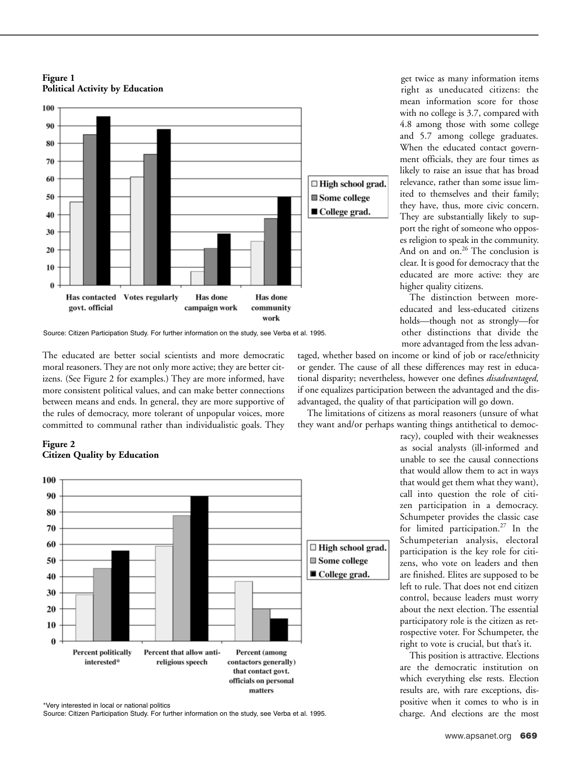**Figure 1 Political Activity by Education**



Source: Citizen Participation Study. For further information on the study, see Verba et al. 1995.

The educated are better social scientists and more democratic moral reasoners. They are not only more active; they are better citizens. (See Figure 2 for examples.) They are more informed, have more consistent political values, and can make better connections between means and ends. In general, they are more supportive of the rules of democracy, more tolerant of unpopular voices, more committed to communal rather than individualistic goals. They

#### **Figure 2 Citizen Quality by Education**



<sup>\*</sup>Very interested in local or national politics

Source: Citizen Participation Study. For further information on the study, see Verba et al. 1995.

get twice as many information items right as uneducated citizens: the mean information score for those with no college is 3.7, compared with 4.8 among those with some college and 5.7 among college graduates. When the educated contact government officials, they are four times as likely to raise an issue that has broad relevance, rather than some issue limited to themselves and their family; they have, thus, more civic concern. They are substantially likely to support the right of someone who opposes religion to speak in the community. And on and on.26 The conclusion is clear. It is good for democracy that the educated are more active: they are higher quality citizens.

The distinction between moreeducated and less-educated citizens holds—though not as strongly—for other distinctions that divide the more advantaged from the less advan-

taged, whether based on income or kind of job or race/ethnicity or gender. The cause of all these differences may rest in educational disparity; nevertheless, however one defines *disadvantaged,* if one equalizes participation between the advantaged and the disadvantaged, the quality of that participation will go down.

The limitations of citizens as moral reasoners (unsure of what they want and/or perhaps wanting things antithetical to democ-

> racy), coupled with their weaknesses as social analysts (ill-informed and unable to see the causal connections that would allow them to act in ways that would get them what they want), call into question the role of citizen participation in a democracy. Schumpeter provides the classic case for limited participation.27 In the Schumpeterian analysis, electoral participation is the key role for citizens, who vote on leaders and then are finished. Elites are supposed to be left to rule. That does not end citizen control, because leaders must worry about the next election. The essential participatory role is the citizen as retrospective voter. For Schumpeter, the right to vote is crucial, but that's it.

> This position is attractive. Elections are the democratic institution on which everything else rests. Election results are, with rare exceptions, dispositive when it comes to who is in charge. And elections are the most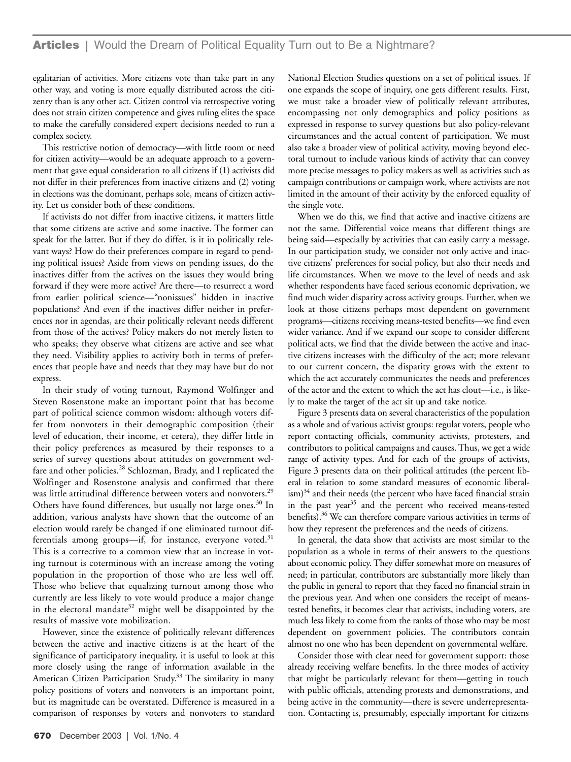egalitarian of activities. More citizens vote than take part in any other way, and voting is more equally distributed across the citizenry than is any other act. Citizen control via retrospective voting does not strain citizen competence and gives ruling elites the space to make the carefully considered expert decisions needed to run a complex society.

This restrictive notion of democracy—with little room or need for citizen activity—would be an adequate approach to a government that gave equal consideration to all citizens if (1) activists did not differ in their preferences from inactive citizens and (2) voting in elections was the dominant, perhaps sole, means of citizen activity. Let us consider both of these conditions.

If activists do not differ from inactive citizens, it matters little that some citizens are active and some inactive. The former can speak for the latter. But if they do differ, is it in politically relevant ways? How do their preferences compare in regard to pending political issues? Aside from views on pending issues, do the inactives differ from the actives on the issues they would bring forward if they were more active? Are there—to resurrect a word from earlier political science—"nonissues" hidden in inactive populations? And even if the inactives differ neither in preferences nor in agendas, are their politically relevant needs different from those of the actives? Policy makers do not merely listen to who speaks; they observe what citizens are active and see what they need. Visibility applies to activity both in terms of preferences that people have and needs that they may have but do not express.

In their study of voting turnout, Raymond Wolfinger and Steven Rosenstone make an important point that has become part of political science common wisdom: although voters differ from nonvoters in their demographic composition (their level of education, their income, et cetera), they differ little in their policy preferences as measured by their responses to a series of survey questions about attitudes on government welfare and other policies.<sup>28</sup> Schlozman, Brady, and I replicated the Wolfinger and Rosenstone analysis and confirmed that there was little attitudinal difference between voters and nonvoters.<sup>29</sup> Others have found differences, but usually not large ones.<sup>30</sup> In addition, various analysts have shown that the outcome of an election would rarely be changed if one eliminated turnout differentials among groups—if, for instance, everyone voted.<sup>31</sup> This is a corrective to a common view that an increase in voting turnout is coterminous with an increase among the voting population in the proportion of those who are less well off. Those who believe that equalizing turnout among those who currently are less likely to vote would produce a major change in the electoral mandate<sup>32</sup> might well be disappointed by the results of massive vote mobilization.

However, since the existence of politically relevant differences between the active and inactive citizens is at the heart of the significance of participatory inequality, it is useful to look at this more closely using the range of information available in the American Citizen Participation Study.<sup>33</sup> The similarity in many policy positions of voters and nonvoters is an important point, but its magnitude can be overstated. Difference is measured in a comparison of responses by voters and nonvoters to standard

National Election Studies questions on a set of political issues. If one expands the scope of inquiry, one gets different results. First, we must take a broader view of politically relevant attributes, encompassing not only demographics and policy positions as expressed in response to survey questions but also policy-relevant circumstances and the actual content of participation. We must also take a broader view of political activity, moving beyond electoral turnout to include various kinds of activity that can convey more precise messages to policy makers as well as activities such as campaign contributions or campaign work, where activists are not limited in the amount of their activity by the enforced equality of the single vote.

When we do this, we find that active and inactive citizens are not the same. Differential voice means that different things are being said—especially by activities that can easily carry a message. In our participation study, we consider not only active and inactive citizens' preferences for social policy, but also their needs and life circumstances. When we move to the level of needs and ask whether respondents have faced serious economic deprivation, we find much wider disparity across activity groups. Further, when we look at those citizens perhaps most dependent on government programs—citizens receiving means-tested benefits—we find even wider variance. And if we expand our scope to consider different political acts, we find that the divide between the active and inactive citizens increases with the difficulty of the act; more relevant to our current concern, the disparity grows with the extent to which the act accurately communicates the needs and preferences of the actor and the extent to which the act has clout—i.e., is likely to make the target of the act sit up and take notice.

Figure 3 presents data on several characteristics of the population as a whole and of various activist groups: regular voters, people who report contacting officials, community activists, protesters, and contributors to political campaigns and causes. Thus, we get a wide range of activity types. And for each of the groups of activists, Figure 3 presents data on their political attitudes (the percent liberal in relation to some standard measures of economic liberal- $\text{ism})^{34}$  and their needs (the percent who have faced financial strain in the past year<sup>35</sup> and the percent who received means-tested benefits).36 We can therefore compare various activities in terms of how they represent the preferences and the needs of citizens.

In general, the data show that activists are most similar to the population as a whole in terms of their answers to the questions about economic policy. They differ somewhat more on measures of need; in particular, contributors are substantially more likely than the public in general to report that they faced no financial strain in the previous year. And when one considers the receipt of meanstested benefits, it becomes clear that activists, including voters, are much less likely to come from the ranks of those who may be most dependent on government policies. The contributors contain almost no one who has been dependent on governmental welfare.

Consider those with clear need for government support: those already receiving welfare benefits. In the three modes of activity that might be particularly relevant for them—getting in touch with public officials, attending protests and demonstrations, and being active in the community—there is severe underrepresentation. Contacting is, presumably, especially important for citizens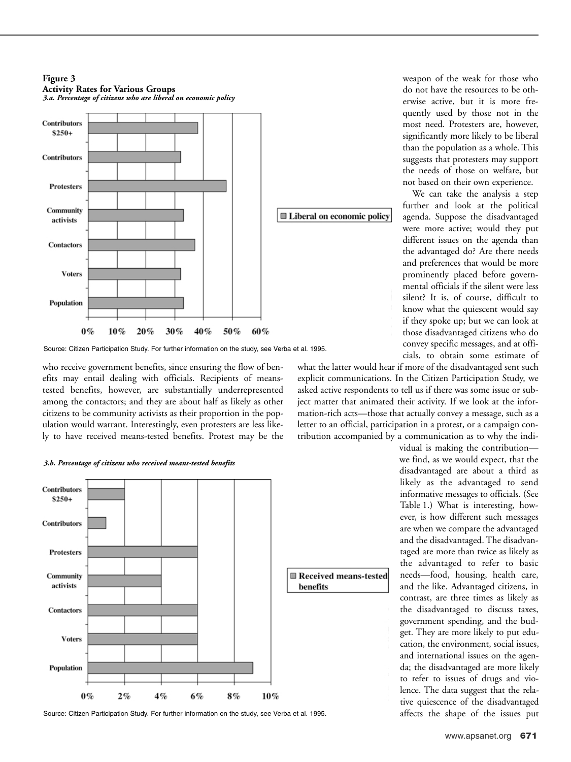

Source: Citizen Participation Study. For further information on the study, see Verba et al. 1995.

who receive government benefits, since ensuring the flow of benefits may entail dealing with officials. Recipients of meanstested benefits, however, are substantially underrepresented among the contactors; and they are about half as likely as other citizens to be community activists as their proportion in the population would warrant. Interestingly, even protesters are less likely to have received means-tested benefits. Protest may be the

#### *3.b. Percentage of citizens who received means-tested benefits*



Source: Citizen Participation Study. For further information on the study, see Verba et al. 1995.

weapon of the weak for those who do not have the resources to be otherwise active, but it is more frequently used by those not in the most need. Protesters are, however, significantly more likely to be liberal than the population as a whole. This suggests that protesters may support the needs of those on welfare, but not based on their own experience.

We can take the analysis a step further and look at the political agenda. Suppose the disadvantaged were more active; would they put different issues on the agenda than the advantaged do? Are there needs and preferences that would be more prominently placed before governmental officials if the silent were less silent? It is, of course, difficult to know what the quiescent would say if they spoke up; but we can look at those disadvantaged citizens who do convey specific messages, and at officials, to obtain some estimate of

what the latter would hear if more of the disadvantaged sent such explicit communications. In the Citizen Participation Study, we asked active respondents to tell us if there was some issue or subject matter that animated their activity. If we look at the information-rich acts—those that actually convey a message, such as a letter to an official, participation in a protest, or a campaign contribution accompanied by a communication as to why the indi-

vidual is making the contribution we find, as we would expect, that the disadvantaged are about a third as likely as the advantaged to send informative messages to officials. (See Table 1.) What is interesting, however, is how different such messages are when we compare the advantaged and the disadvantaged. The disadvantaged are more than twice as likely as the advantaged to refer to basic needs—food, housing, health care, and the like. Advantaged citizens, in contrast, are three times as likely as the disadvantaged to discuss taxes, government spending, and the budget. They are more likely to put education, the environment, social issues, and international issues on the agenda; the disadvantaged are more likely to refer to issues of drugs and violence. The data suggest that the relative quiescence of the disadvantaged affects the shape of the issues put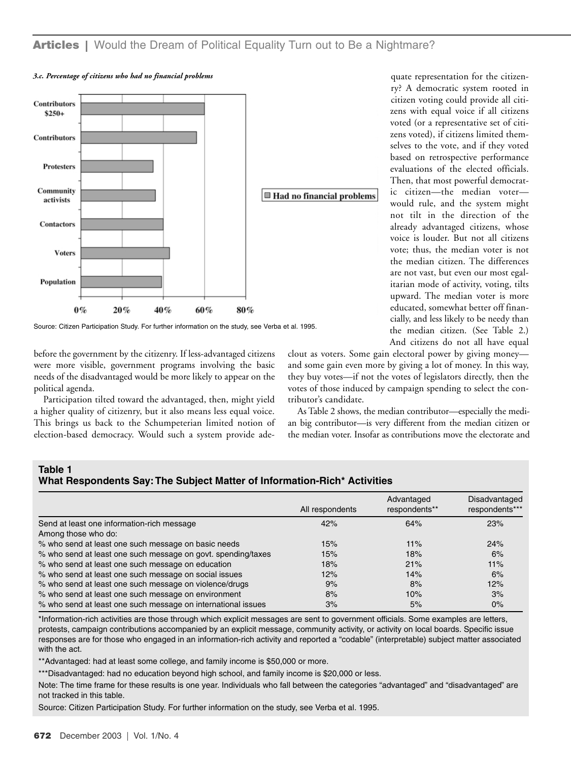



Source: Citizen Participation Study. For further information on the study, see Verba et al. 1995.

before the government by the citizenry. If less-advantaged citizens were more visible, government programs involving the basic needs of the disadvantaged would be more likely to appear on the political agenda.

Participation tilted toward the advantaged, then, might yield a higher quality of citizenry, but it also means less equal voice. This brings us back to the Schumpeterian limited notion of election-based democracy. Would such a system provide ade-

quate representation for the citizenry? A democratic system rooted in citizen voting could provide all citizens with equal voice if all citizens voted (or a representative set of citizens voted), if citizens limited themselves to the vote, and if they voted based on retrospective performance evaluations of the elected officials. Then, that most powerful democratic citizen—the median voter would rule, and the system might not tilt in the direction of the already advantaged citizens, whose voice is louder. But not all citizens vote; thus, the median voter is not the median citizen. The differences are not vast, but even our most egalitarian mode of activity, voting, tilts upward. The median voter is more educated, somewhat better off financially, and less likely to be needy than the median citizen. (See Table 2.) And citizens do not all have equal

clout as voters. Some gain electoral power by giving money and some gain even more by giving a lot of money. In this way, they buy votes—if not the votes of legislators directly, then the votes of those induced by campaign spending to select the contributor's candidate.

As Table 2 shows, the median contributor—especially the median big contributor—is very different from the median citizen or the median voter. Insofar as contributions move the electorate and

# **Table 1**

# **What Respondents Say:The Subject Matter of Information-Rich\* Activities**

|                                                              | All respondents | Advantaged<br>respondents** | Disadvantaged<br>respondents*** |
|--------------------------------------------------------------|-----------------|-----------------------------|---------------------------------|
| Send at least one information-rich message                   | 42%             | 64%                         | 23%                             |
| Among those who do:                                          |                 |                             |                                 |
| % who send at least one such message on basic needs          | 15%             | 11%                         | 24%                             |
| % who send at least one such message on govt. spending/taxes | 15%             | 18%                         | 6%                              |
| % who send at least one such message on education            | 18%             | 21%                         | 11%                             |
| % who send at least one such message on social issues        | 12%             | 14%                         | 6%                              |
| % who send at least one such message on violence/drugs       | 9%              | 8%                          | 12%                             |
| % who send at least one such message on environment          | 8%              | 10%                         | 3%                              |
| % who send at least one such message on international issues | 3%              | 5%                          | $0\%$                           |

\*Information-rich activities are those through which explicit messages are sent to government officials. Some examples are letters, protests, campaign contributions accompanied by an explicit message, community activity, or activity on local boards. Specific issue responses are for those who engaged in an information-rich activity and reported a "codable" (interpretable) subject matter associated with the act.

\*\*Advantaged: had at least some college, and family income is \$50,000 or more.

\*\*\*Disadvantaged: had no education beyond high school, and family income is \$20,000 or less.

Note: The time frame for these results is one year. Individuals who fall between the categories "advantaged" and "disadvantaged" are not tracked in this table.

Source: Citizen Participation Study. For further information on the study, see Verba et al. 1995.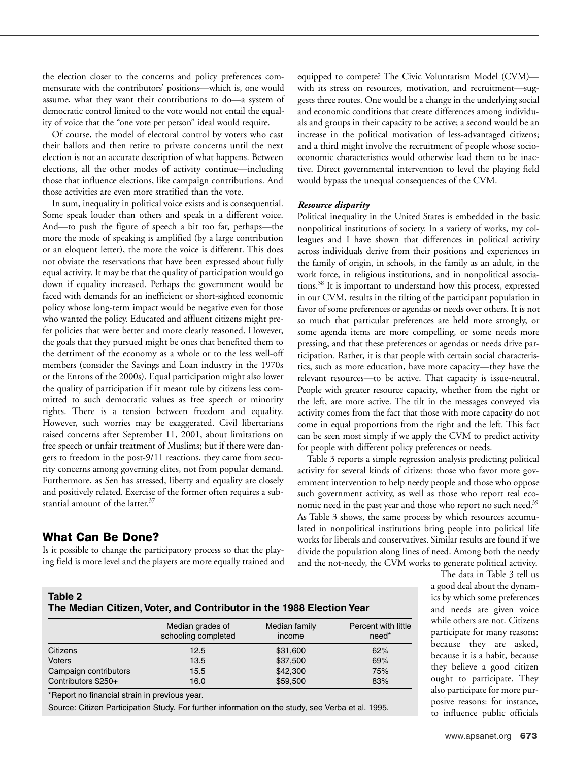the election closer to the concerns and policy preferences commensurate with the contributors' positions—which is, one would assume, what they want their contributions to do—a system of democratic control limited to the vote would not entail the equality of voice that the "one vote per person" ideal would require.

Of course, the model of electoral control by voters who cast their ballots and then retire to private concerns until the next election is not an accurate description of what happens. Between elections, all the other modes of activity continue—including those that influence elections, like campaign contributions. And those activities are even more stratified than the vote.

In sum, inequality in political voice exists and is consequential. Some speak louder than others and speak in a different voice. And—to push the figure of speech a bit too far, perhaps—the more the mode of speaking is amplified (by a large contribution or an eloquent letter), the more the voice is different. This does not obviate the reservations that have been expressed about fully equal activity. It may be that the quality of participation would go down if equality increased. Perhaps the government would be faced with demands for an inefficient or short-sighted economic policy whose long-term impact would be negative even for those who wanted the policy. Educated and affluent citizens might prefer policies that were better and more clearly reasoned. However, the goals that they pursued might be ones that benefited them to the detriment of the economy as a whole or to the less well-off members (consider the Savings and Loan industry in the 1970s or the Enrons of the 2000s). Equal participation might also lower the quality of participation if it meant rule by citizens less committed to such democratic values as free speech or minority rights. There is a tension between freedom and equality. However, such worries may be exaggerated. Civil libertarians raised concerns after September 11, 2001, about limitations on free speech or unfair treatment of Muslims; but if there were dangers to freedom in the post-9/11 reactions, they came from security concerns among governing elites, not from popular demand. Furthermore, as Sen has stressed, liberty and equality are closely and positively related. Exercise of the former often requires a substantial amount of the latter.<sup>37</sup>

## What Can Be Done?

Is it possible to change the participatory process so that the playing field is more level and the players are more equally trained and equipped to compete? The Civic Voluntarism Model (CVM) with its stress on resources, motivation, and recruitment—suggests three routes. One would be a change in the underlying social and economic conditions that create differences among individuals and groups in their capacity to be active; a second would be an increase in the political motivation of less-advantaged citizens; and a third might involve the recruitment of people whose socioeconomic characteristics would otherwise lead them to be inactive. Direct governmental intervention to level the playing field would bypass the unequal consequences of the CVM.

#### *Resource disparity*

Political inequality in the United States is embedded in the basic nonpolitical institutions of society. In a variety of works, my colleagues and I have shown that differences in political activity across individuals derive from their positions and experiences in the family of origin, in schools, in the family as an adult, in the work force, in religious institutions, and in nonpolitical associations.38 It is important to understand how this process, expressed in our CVM, results in the tilting of the participant population in favor of some preferences or agendas or needs over others. It is not so much that particular preferences are held more strongly, or some agenda items are more compelling, or some needs more pressing, and that these preferences or agendas or needs drive participation. Rather, it is that people with certain social characteristics, such as more education, have more capacity—they have the relevant resources—to be active. That capacity is issue-neutral. People with greater resource capacity, whether from the right or the left, are more active. The tilt in the messages conveyed via activity comes from the fact that those with more capacity do not come in equal proportions from the right and the left. This fact can be seen most simply if we apply the CVM to predict activity for people with different policy preferences or needs.

Table 3 reports a simple regression analysis predicting political activity for several kinds of citizens: those who favor more government intervention to help needy people and those who oppose such government activity, as well as those who report real economic need in the past year and those who report no such need.<sup>39</sup> As Table 3 shows, the same process by which resources accumulated in nonpolitical institutions bring people into political life works for liberals and conservatives. Similar results are found if we divide the population along lines of need. Among both the needy and the not-needy, the CVM works to generate political activity.

**Table 2**

|                       | Median grades of<br>schooling completed | Median family<br>income | Percent with little<br>need <sup>*</sup> |
|-----------------------|-----------------------------------------|-------------------------|------------------------------------------|
| Citizens              | 12.5                                    | \$31,600                | 62%                                      |
| <b>Voters</b>         | 13.5                                    | \$37,500                | 69%                                      |
| Campaign contributors | 15.5                                    | \$42,300                | 75%                                      |
| Contributors \$250+   | 16.0                                    | \$59,500                | 83%                                      |

\*Report no financial strain in previous year.

Source: Citizen Participation Study. For further information on the study, see Verba et al. 1995.

a good deal about the dynamics by which some preferences and needs are given voice while others are not. Citizens participate for many reasons: because they are asked, because it is a habit, because they believe a good citizen ought to participate. They also participate for more purposive reasons: for instance, to influence public officials

The data in Table 3 tell us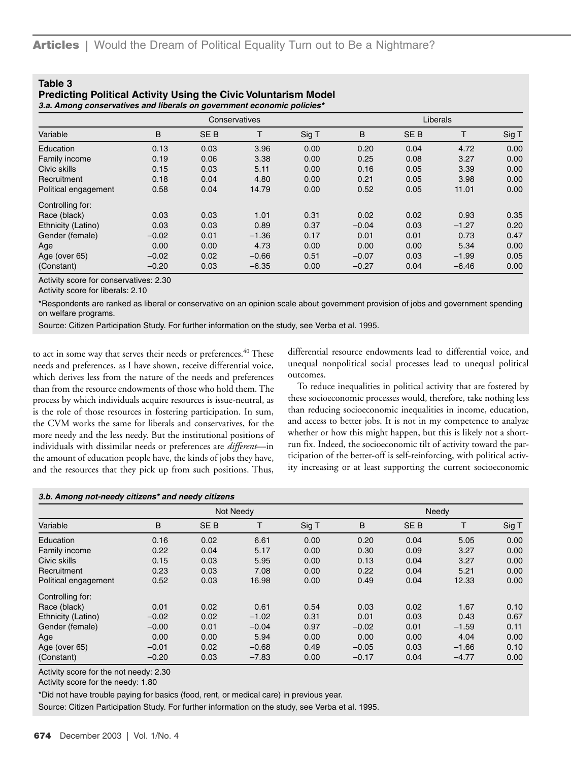| Table 3                                                                |  |
|------------------------------------------------------------------------|--|
| <b>Predicting Political Activity Using the Civic Voluntarism Model</b> |  |
| 3.a. Among conservatives and liberals on government economic policies* |  |

|                      |         | Conservatives   |         |       |         | Liberals   |         |       |
|----------------------|---------|-----------------|---------|-------|---------|------------|---------|-------|
| Variable             | B       | SE <sub>B</sub> | Т       | Sig T | B       | <b>SEB</b> |         | Sig T |
| Education            | 0.13    | 0.03            | 3.96    | 0.00  | 0.20    | 0.04       | 4.72    | 0.00  |
| Family income        | 0.19    | 0.06            | 3.38    | 0.00  | 0.25    | 0.08       | 3.27    | 0.00  |
| Civic skills         | 0.15    | 0.03            | 5.11    | 0.00  | 0.16    | 0.05       | 3.39    | 0.00  |
| Recruitment          | 0.18    | 0.04            | 4.80    | 0.00  | 0.21    | 0.05       | 3.98    | 0.00  |
| Political engagement | 0.58    | 0.04            | 14.79   | 0.00  | 0.52    | 0.05       | 11.01   | 0.00  |
| Controlling for:     |         |                 |         |       |         |            |         |       |
| Race (black)         | 0.03    | 0.03            | 1.01    | 0.31  | 0.02    | 0.02       | 0.93    | 0.35  |
| Ethnicity (Latino)   | 0.03    | 0.03            | 0.89    | 0.37  | $-0.04$ | 0.03       | $-1.27$ | 0.20  |
| Gender (female)      | $-0.02$ | 0.01            | $-1.36$ | 0.17  | 0.01    | 0.01       | 0.73    | 0.47  |
| Age                  | 0.00    | 0.00            | 4.73    | 0.00  | 0.00    | 0.00       | 5.34    | 0.00  |
| Age (over 65)        | $-0.02$ | 0.02            | $-0.66$ | 0.51  | $-0.07$ | 0.03       | $-1.99$ | 0.05  |
| (Constant)           | $-0.20$ | 0.03            | $-6.35$ | 0.00  | $-0.27$ | 0.04       | $-6.46$ | 0.00  |

Activity score for conservatives: 2.30

Activity score for liberals: 2.10

\*Respondents are ranked as liberal or conservative on an opinion scale about government provision of jobs and government spending on welfare programs.

Source: Citizen Participation Study. For further information on the study, see Verba et al. 1995.

to act in some way that serves their needs or preferences.<sup>40</sup> These needs and preferences, as I have shown, receive differential voice, which derives less from the nature of the needs and preferences than from the resource endowments of those who hold them. The process by which individuals acquire resources is issue-neutral, as is the role of those resources in fostering participation. In sum, the CVM works the same for liberals and conservatives, for the more needy and the less needy. But the institutional positions of individuals with dissimilar needs or preferences are *different*—in the amount of education people have, the kinds of jobs they have, and the resources that they pick up from such positions. Thus,

differential resource endowments lead to differential voice, and unequal nonpolitical social processes lead to unequal political outcomes.

To reduce inequalities in political activity that are fostered by these socioeconomic processes would, therefore, take nothing less than reducing socioeconomic inequalities in income, education, and access to better jobs. It is not in my competence to analyze whether or how this might happen, but this is likely not a shortrun fix. Indeed, the socioeconomic tilt of activity toward the participation of the better-off is self-reinforcing, with political activity increasing or at least supporting the current socioeconomic

#### **3.b. Among not-needy citizens\* and needy citizens**

|                      |         |                 | Not Needy |       |         |            | Needy   |       |
|----------------------|---------|-----------------|-----------|-------|---------|------------|---------|-------|
| Variable             | B       | SE <sub>B</sub> | T         | Sig T | B       | <b>SEB</b> | т       | Sig T |
| Education            | 0.16    | 0.02            | 6.61      | 0.00  | 0.20    | 0.04       | 5.05    | 0.00  |
| Family income        | 0.22    | 0.04            | 5.17      | 0.00  | 0.30    | 0.09       | 3.27    | 0.00  |
| Civic skills         | 0.15    | 0.03            | 5.95      | 0.00  | 0.13    | 0.04       | 3.27    | 0.00  |
| Recruitment          | 0.23    | 0.03            | 7.08      | 0.00  | 0.22    | 0.04       | 5.21    | 0.00  |
| Political engagement | 0.52    | 0.03            | 16.98     | 0.00  | 0.49    | 0.04       | 12.33   | 0.00  |
| Controlling for:     |         |                 |           |       |         |            |         |       |
| Race (black)         | 0.01    | 0.02            | 0.61      | 0.54  | 0.03    | 0.02       | 1.67    | 0.10  |
| Ethnicity (Latino)   | $-0.02$ | 0.02            | $-1.02$   | 0.31  | 0.01    | 0.03       | 0.43    | 0.67  |
| Gender (female)      | $-0.00$ | 0.01            | $-0.04$   | 0.97  | $-0.02$ | 0.01       | $-1.59$ | 0.11  |
| Age                  | 0.00    | 0.00            | 5.94      | 0.00  | 0.00    | 0.00       | 4.04    | 0.00  |
| Age (over 65)        | $-0.01$ | 0.02            | $-0.68$   | 0.49  | $-0.05$ | 0.03       | $-1.66$ | 0.10  |
| (Constant)           | $-0.20$ | 0.03            | $-7.83$   | 0.00  | $-0.17$ | 0.04       | $-4.77$ | 0.00  |

Activity score for the not needy: 2.30

Activity score for the needy: 1.80

\*Did not have trouble paying for basics (food, rent, or medical care) in previous year.

Source: Citizen Participation Study. For further information on the study, see Verba et al. 1995.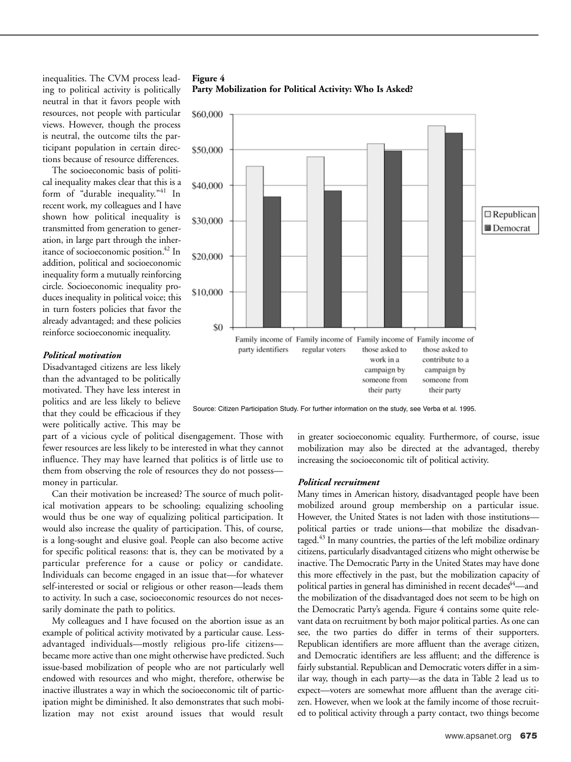inequalities. The CVM process leading to political activity is politically neutral in that it favors people with resources, not people with particular views. However, though the process is neutral, the outcome tilts the participant population in certain directions because of resource differences.

The socioeconomic basis of political inequality makes clear that this is a form of "durable inequality."<sup>41</sup> In recent work, my colleagues and I have shown how political inequality is transmitted from generation to generation, in large part through the inheritance of socioeconomic position.42 In addition, political and socioeconomic inequality form a mutually reinforcing circle. Socioeconomic inequality produces inequality in political voice; this in turn fosters policies that favor the already advantaged; and these policies reinforce socioeconomic inequality.

#### *Political motivation*

Disadvantaged citizens are less likely than the advantaged to be politically motivated. They have less interest in politics and are less likely to believe that they could be efficacious if they were politically active. This may be

part of a vicious cycle of political disengagement. Those with fewer resources are less likely to be interested in what they cannot influence. They may have learned that politics is of little use to them from observing the role of resources they do not possess money in particular.

Can their motivation be increased? The source of much political motivation appears to be schooling; equalizing schooling would thus be one way of equalizing political participation. It would also increase the quality of participation. This, of course, is a long-sought and elusive goal. People can also become active for specific political reasons: that is, they can be motivated by a particular preference for a cause or policy or candidate. Individuals can become engaged in an issue that—for whatever self-interested or social or religious or other reason—leads them to activity. In such a case, socioeconomic resources do not necessarily dominate the path to politics.

My colleagues and I have focused on the abortion issue as an example of political activity motivated by a particular cause. Lessadvantaged individuals—mostly religious pro-life citizens became more active than one might otherwise have predicted. Such issue-based mobilization of people who are not particularly well endowed with resources and who might, therefore, otherwise be inactive illustrates a way in which the socioeconomic tilt of participation might be diminished. It also demonstrates that such mobilization may not exist around issues that would result

**Figure 4 Party Mobilization for Political Activity: Who Is Asked?**



Source: Citizen Participation Study. For further information on the study, see Verba et al. 1995.

in greater socioeconomic equality. Furthermore, of course, issue mobilization may also be directed at the advantaged, thereby increasing the socioeconomic tilt of political activity.

#### *Political recruitment*

Many times in American history, disadvantaged people have been mobilized around group membership on a particular issue. However, the United States is not laden with those institutions political parties or trade unions—that mobilize the disadvantaged.<sup>43</sup> In many countries, the parties of the left mobilize ordinary citizens, particularly disadvantaged citizens who might otherwise be inactive. The Democratic Party in the United States may have done this more effectively in the past, but the mobilization capacity of political parties in general has diminished in recent decades<sup>44</sup>—and the mobilization of the disadvantaged does not seem to be high on the Democratic Party's agenda. Figure 4 contains some quite relevant data on recruitment by both major political parties. As one can see, the two parties do differ in terms of their supporters. Republican identifiers are more affluent than the average citizen, and Democratic identifiers are less affluent; and the difference is fairly substantial. Republican and Democratic voters differ in a similar way, though in each party—as the data in Table 2 lead us to expect—voters are somewhat more affluent than the average citizen. However, when we look at the family income of those recruited to political activity through a party contact, two things become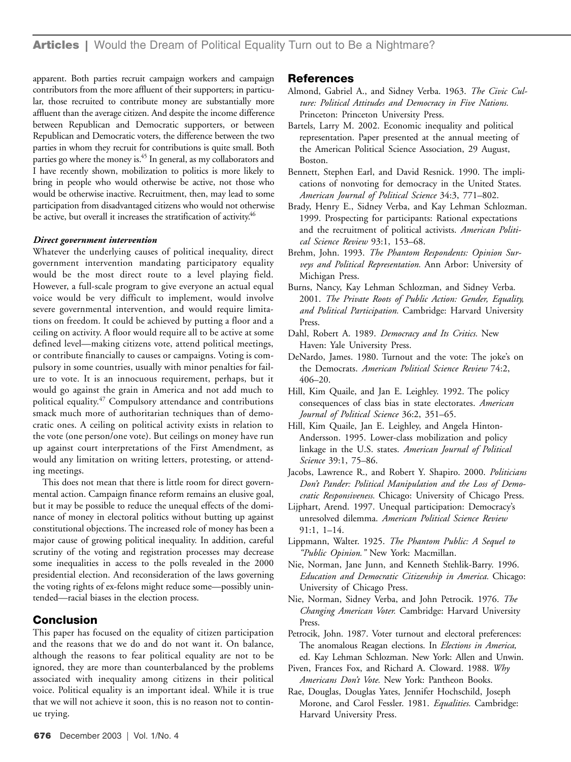apparent. Both parties recruit campaign workers and campaign contributors from the more affluent of their supporters; in particular, those recruited to contribute money are substantially more affluent than the average citizen. And despite the income difference between Republican and Democratic supporters, or between Republican and Democratic voters, the difference between the two parties in whom they recruit for contributions is quite small. Both parties go where the money is.<sup>45</sup> In general, as my collaborators and I have recently shown, mobilization to politics is more likely to bring in people who would otherwise be active, not those who would be otherwise inactive. Recruitment, then, may lead to some participation from disadvantaged citizens who would not otherwise be active, but overall it increases the stratification of activity.<sup>46</sup>

#### *Direct government intervention*

Whatever the underlying causes of political inequality, direct government intervention mandating participatory equality would be the most direct route to a level playing field. However, a full-scale program to give everyone an actual equal voice would be very difficult to implement, would involve severe governmental intervention, and would require limitations on freedom. It could be achieved by putting a floor and a ceiling on activity. A floor would require all to be active at some defined level—making citizens vote, attend political meetings, or contribute financially to causes or campaigns. Voting is compulsory in some countries, usually with minor penalties for failure to vote. It is an innocuous requirement, perhaps, but it would go against the grain in America and not add much to political equality.<sup>47</sup> Compulsory attendance and contributions smack much more of authoritarian techniques than of democratic ones. A ceiling on political activity exists in relation to the vote (one person/one vote). But ceilings on money have run up against court interpretations of the First Amendment, as would any limitation on writing letters, protesting, or attending meetings.

This does not mean that there is little room for direct governmental action. Campaign finance reform remains an elusive goal, but it may be possible to reduce the unequal effects of the dominance of money in electoral politics without butting up against constitutional objections. The increased role of money has been a major cause of growing political inequality. In addition, careful scrutiny of the voting and registration processes may decrease some inequalities in access to the polls revealed in the 2000 presidential election. And reconsideration of the laws governing the voting rights of ex-felons might reduce some—possibly unintended—racial biases in the election process.

## Conclusion

This paper has focused on the equality of citizen participation and the reasons that we do and do not want it. On balance, although the reasons to fear political equality are not to be ignored, they are more than counterbalanced by the problems associated with inequality among citizens in their political voice. Political equality is an important ideal. While it is true that we will not achieve it soon, this is no reason not to continue trying.

### **References**

- Almond, Gabriel A., and Sidney Verba. 1963. *The Civic Culture: Political Attitudes and Democracy in Five Nations.* Princeton: Princeton University Press.
- Bartels, Larry M. 2002. Economic inequality and political representation. Paper presented at the annual meeting of the American Political Science Association, 29 August, Boston.
- Bennett, Stephen Earl, and David Resnick. 1990. The implications of nonvoting for democracy in the United States. *American Journal of Political Science* 34:3, 771–802.
- Brady, Henry E., Sidney Verba, and Kay Lehman Schlozman. 1999. Prospecting for participants: Rational expectations and the recruitment of political activists. *American Political Science Review* 93:1, 153–68.
- Brehm, John. 1993. *The Phantom Respondents: Opinion Surveys and Political Representation.* Ann Arbor: University of Michigan Press.
- Burns, Nancy, Kay Lehman Schlozman, and Sidney Verba. 2001. *The Private Roots of Public Action: Gender, Equality, and Political Participation.* Cambridge: Harvard University Press.
- Dahl, Robert A. 1989. *Democracy and Its Critics.* New Haven: Yale University Press.
- DeNardo, James. 1980. Turnout and the vote: The joke's on the Democrats. *American Political Science Review* 74:2, 406–20.
- Hill, Kim Quaile, and Jan E. Leighley. 1992. The policy consequences of class bias in state electorates. *American Journal of Political Science* 36:2, 351–65.
- Hill, Kim Quaile, Jan E. Leighley, and Angela Hinton-Andersson. 1995. Lower-class mobilization and policy linkage in the U.S. states. *American Journal of Political Science* 39:1, 75–86.
- Jacobs, Lawrence R., and Robert Y. Shapiro. 2000. *Politicians Don't Pander: Political Manipulation and the Loss of Democratic Responsiveness.* Chicago: University of Chicago Press.
- Lijphart, Arend. 1997. Unequal participation: Democracy's unresolved dilemma. *American Political Science Review* 91:1, 1–14.
- Lippmann, Walter. 1925. *The Phantom Public: A Sequel to "Public Opinion."* New York: Macmillan.
- Nie, Norman, Jane Junn, and Kenneth Stehlik-Barry. 1996. *Education and Democratic Citizenship in America.* Chicago: University of Chicago Press.
- Nie, Norman, Sidney Verba, and John Petrocik. 1976. *The Changing American Voter.* Cambridge: Harvard University Press.
- Petrocik, John. 1987. Voter turnout and electoral preferences: The anomalous Reagan elections. In *Elections in America,* ed. Kay Lehman Schlozman. New York: Allen and Unwin.
- Piven, Frances Fox, and Richard A. Cloward. 1988. *Why Americans Don't Vote.* New York: Pantheon Books.
- Rae, Douglas, Douglas Yates, Jennifer Hochschild, Joseph Morone, and Carol Fessler. 1981. *Equalities.* Cambridge: Harvard University Press.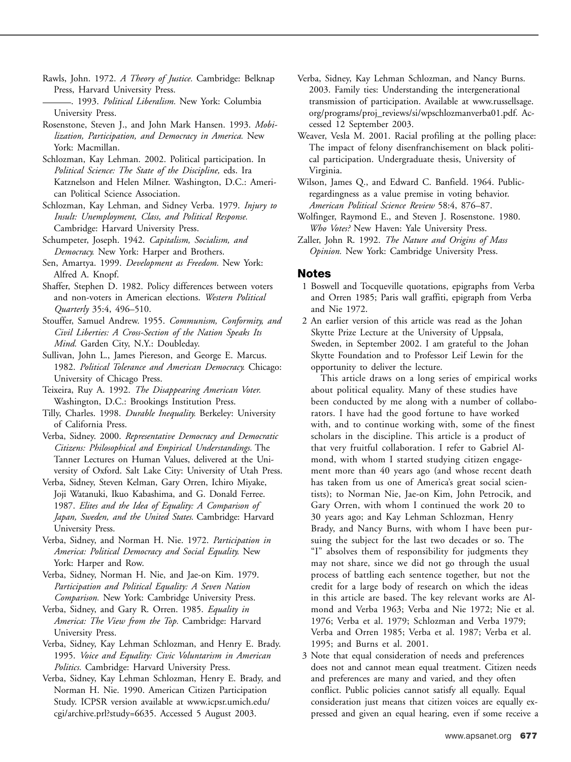- Rawls, John. 1972. *A Theory of Justice.* Cambridge: Belknap Press, Harvard University Press.
- . 1993. *Political Liberalism.* New York: Columbia University Press.
- Rosenstone, Steven J., and John Mark Hansen. 1993. *Mobilization, Participation, and Democracy in America.* New York: Macmillan.
- Schlozman, Kay Lehman. 2002. Political participation. In *Political Science: The State of the Discipline,* eds. Ira Katznelson and Helen Milner. Washington, D.C.: American Political Science Association.
- Schlozman, Kay Lehman, and Sidney Verba. 1979. *Injury to Insult: Unemployment, Class, and Political Response.* Cambridge: Harvard University Press.
- Schumpeter, Joseph. 1942. *Capitalism, Socialism, and Democracy.* New York: Harper and Brothers.
- Sen, Amartya. 1999. *Development as Freedom.* New York: Alfred A. Knopf.
- Shaffer, Stephen D. 1982. Policy differences between voters and non-voters in American elections. *Western Political Quarterly* 35:4, 496–510.
- Stouffer, Samuel Andrew. 1955. *Communism, Conformity, and Civil Liberties: A Cross-Section of the Nation Speaks Its Mind.* Garden City, N.Y.: Doubleday.
- Sullivan, John L., James Piereson, and George E. Marcus. 1982. *Political Tolerance and American Democracy.* Chicago: University of Chicago Press.
- Teixeira, Ruy A. 1992. *The Disappearing American Voter.* Washington, D.C.: Brookings Institution Press.
- Tilly, Charles. 1998. *Durable Inequality.* Berkeley: University of California Press.
- Verba, Sidney. 2000. *Representative Democracy and Democratic Citizens: Philosophical and Empirical Understandings.* The Tanner Lectures on Human Values, delivered at the University of Oxford. Salt Lake City: University of Utah Press.
- Verba, Sidney, Steven Kelman, Gary Orren, Ichiro Miyake, Joji Watanuki, Ikuo Kabashima, and G. Donald Ferree. 1987. *Elites and the Idea of Equality: A Comparison of Japan, Sweden, and the United States.* Cambridge: Harvard University Press.
- Verba, Sidney, and Norman H. Nie. 1972. *Participation in America: Political Democracy and Social Equality.* New York: Harper and Row.
- Verba, Sidney, Norman H. Nie, and Jae-on Kim. 1979. *Participation and Political Equality: A Seven Nation Comparison.* New York: Cambridge University Press.
- Verba, Sidney, and Gary R. Orren. 1985. *Equality in America: The View from the Top.* Cambridge: Harvard University Press.
- Verba, Sidney, Kay Lehman Schlozman, and Henry E. Brady. 1995. *Voice and Equality: Civic Voluntarism in American Politics.* Cambridge: Harvard University Press.
- Verba, Sidney, Kay Lehman Schlozman, Henry E. Brady, and Norman H. Nie. 1990. American Citizen Participation Study. ICPSR version available at www.icpsr.umich.edu/ cgi/archive.prl?study=6635. Accessed 5 August 2003.
- Verba, Sidney, Kay Lehman Schlozman, and Nancy Burns. 2003. Family ties: Understanding the intergenerational transmission of participation. Available at www.russellsage. org/programs/proj\_reviews/si/wpschlozmanverba01.pdf. Accessed 12 September 2003.
- Weaver, Vesla M. 2001. Racial profiling at the polling place: The impact of felony disenfranchisement on black political participation. Undergraduate thesis, University of Virginia.
- Wilson, James Q., and Edward C. Banfield. 1964. Publicregardingness as a value premise in voting behavior. *American Political Science Review* 58:4, 876–87.
- Wolfinger, Raymond E., and Steven J. Rosenstone. 1980. *Who Votes?* New Haven: Yale University Press.
- Zaller, John R. 1992. *The Nature and Origins of Mass Opinion.* New York: Cambridge University Press.

### Notes

- 1 Boswell and Tocqueville quotations, epigraphs from Verba and Orren 1985; Paris wall graffiti, epigraph from Verba and Nie 1972.
- 2 An earlier version of this article was read as the Johan Skytte Prize Lecture at the University of Uppsala, Sweden, in September 2002. I am grateful to the Johan Skytte Foundation and to Professor Leif Lewin for the opportunity to deliver the lecture.

This article draws on a long series of empirical works about political equality. Many of these studies have been conducted by me along with a number of collaborators. I have had the good fortune to have worked with, and to continue working with, some of the finest scholars in the discipline. This article is a product of that very fruitful collaboration. I refer to Gabriel Almond, with whom I started studying citizen engagement more than 40 years ago (and whose recent death has taken from us one of America's great social scientists); to Norman Nie, Jae-on Kim, John Petrocik, and Gary Orren, with whom I continued the work 20 to 30 years ago; and Kay Lehman Schlozman, Henry Brady, and Nancy Burns, with whom I have been pursuing the subject for the last two decades or so. The "I" absolves them of responsibility for judgments they may not share, since we did not go through the usual process of battling each sentence together, but not the credit for a large body of research on which the ideas in this article are based. The key relevant works are Almond and Verba 1963; Verba and Nie 1972; Nie et al. 1976; Verba et al. 1979; Schlozman and Verba 1979; Verba and Orren 1985; Verba et al. 1987; Verba et al. 1995; and Burns et al. 2001.

3 Note that equal consideration of needs and preferences does not and cannot mean equal treatment. Citizen needs and preferences are many and varied, and they often conflict. Public policies cannot satisfy all equally. Equal consideration just means that citizen voices are equally expressed and given an equal hearing, even if some receive a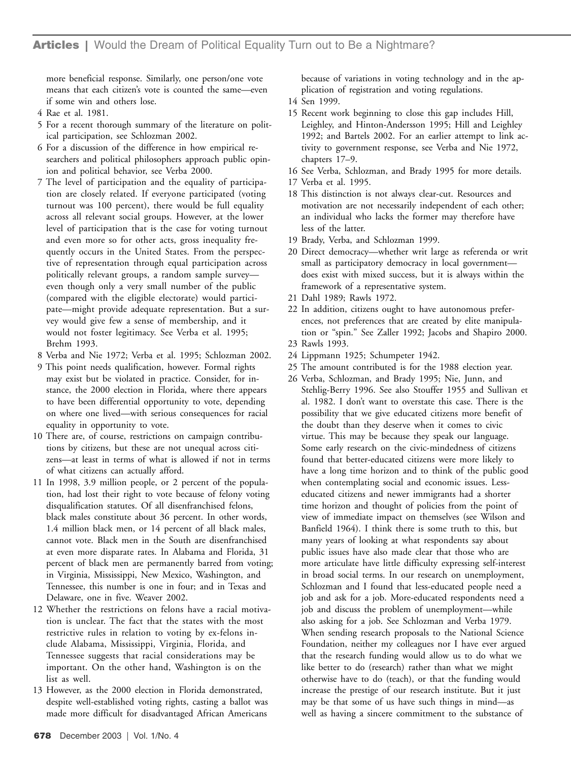more beneficial response. Similarly, one person/one vote means that each citizen's vote is counted the same—even if some win and others lose.

- 4 Rae et al. 1981.
- 5 For a recent thorough summary of the literature on political participation, see Schlozman 2002.
- 6 For a discussion of the difference in how empirical researchers and political philosophers approach public opinion and political behavior, see Verba 2000.
- 7 The level of participation and the equality of participation are closely related. If everyone participated (voting turnout was 100 percent), there would be full equality across all relevant social groups. However, at the lower level of participation that is the case for voting turnout and even more so for other acts, gross inequality frequently occurs in the United States. From the perspective of representation through equal participation across politically relevant groups, a random sample survey even though only a very small number of the public (compared with the eligible electorate) would participate—might provide adequate representation. But a survey would give few a sense of membership, and it would not foster legitimacy. See Verba et al. 1995; Brehm 1993.
- 8 Verba and Nie 1972; Verba et al. 1995; Schlozman 2002.
- 9 This point needs qualification, however. Formal rights may exist but be violated in practice. Consider, for instance, the 2000 election in Florida, where there appears to have been differential opportunity to vote, depending on where one lived—with serious consequences for racial equality in opportunity to vote.
- 10 There are, of course, restrictions on campaign contributions by citizens, but these are not unequal across citizens—at least in terms of what is allowed if not in terms of what citizens can actually afford.
- 11 In 1998, 3.9 million people, or 2 percent of the population, had lost their right to vote because of felony voting disqualification statutes. Of all disenfranchised felons, black males constitute about 36 percent. In other words, 1.4 million black men, or 14 percent of all black males, cannot vote. Black men in the South are disenfranchised at even more disparate rates. In Alabama and Florida, 31 percent of black men are permanently barred from voting; in Virginia, Mississippi, New Mexico, Washington, and Tennessee, this number is one in four; and in Texas and Delaware, one in five. Weaver 2002.
- 12 Whether the restrictions on felons have a racial motivation is unclear. The fact that the states with the most restrictive rules in relation to voting by ex-felons include Alabama, Mississippi, Virginia, Florida, and Tennessee suggests that racial considerations may be important. On the other hand, Washington is on the list as well.
- 13 However, as the 2000 election in Florida demonstrated, despite well-established voting rights, casting a ballot was made more difficult for disadvantaged African Americans

because of variations in voting technology and in the application of registration and voting regulations.

- 14 Sen 1999.
- 15 Recent work beginning to close this gap includes Hill, Leighley, and Hinton-Andersson 1995; Hill and Leighley 1992; and Bartels 2002. For an earlier attempt to link activity to government response, see Verba and Nie 1972, chapters 17–9.
- 16 See Verba, Schlozman, and Brady 1995 for more details.
- 17 Verba et al. 1995.
- 18 This distinction is not always clear-cut. Resources and motivation are not necessarily independent of each other; an individual who lacks the former may therefore have less of the latter.
- 19 Brady, Verba, and Schlozman 1999.
- 20 Direct democracy—whether writ large as referenda or writ small as participatory democracy in local government does exist with mixed success, but it is always within the framework of a representative system.
- 21 Dahl 1989; Rawls 1972.
- 22 In addition, citizens ought to have autonomous preferences, not preferences that are created by elite manipulation or "spin." See Zaller 1992; Jacobs and Shapiro 2000. 23 Rawls 1993.
- 24 Lippmann 1925; Schumpeter 1942.
- 25 The amount contributed is for the 1988 election year.
- 26 Verba, Schlozman, and Brady 1995; Nie, Junn, and Stehlig-Berry 1996. See also Stouffer 1955 and Sullivan et al. 1982. I don't want to overstate this case. There is the possibility that we give educated citizens more benefit of the doubt than they deserve when it comes to civic virtue. This may be because they speak our language. Some early research on the civic-mindedness of citizens found that better-educated citizens were more likely to have a long time horizon and to think of the public good when contemplating social and economic issues. Lesseducated citizens and newer immigrants had a shorter time horizon and thought of policies from the point of view of immediate impact on themselves (see Wilson and Banfield 1964). I think there is some truth to this, but many years of looking at what respondents say about public issues have also made clear that those who are more articulate have little difficulty expressing self-interest in broad social terms. In our research on unemployment, Schlozman and I found that less-educated people need a job and ask for a job. More-educated respondents need a job and discuss the problem of unemployment—while also asking for a job. See Schlozman and Verba 1979. When sending research proposals to the National Science Foundation, neither my colleagues nor I have ever argued that the research funding would allow us to do what we like better to do (research) rather than what we might otherwise have to do (teach), or that the funding would increase the prestige of our research institute. But it just may be that some of us have such things in mind—as well as having a sincere commitment to the substance of